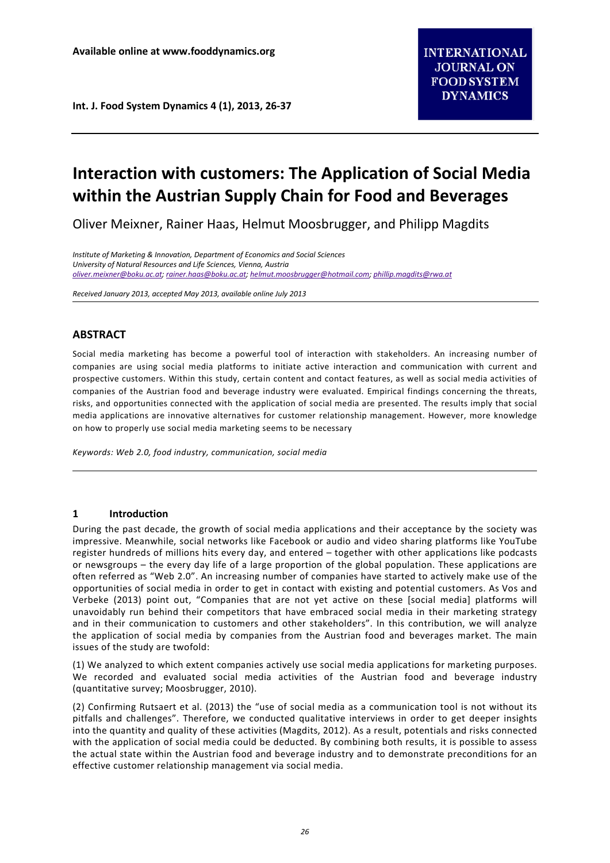# **Interaction with customers: The Application of Social Media within the Austrian Supply Chain for Food and Beverages**

Oliver Meixner, Rainer Haas, Helmut Moosbrugger, and Philipp Magdits

*Institute of Marketing & Innovation, Department of Economics and Social Sciences University of Natural Resources and Life Sciences, Vienna, Austria [oliver.meixner@boku.ac.at;](mailto:oliver.meixner@boku.ac.at) [rainer.haas@boku.ac.at;](mailto:rainer.haas@boku.ac.at) [helmut.moosbrugger@hotmail.com;](mailto:helmut.moosbrugger@hotmail.com) [phillip.magdits@rwa.at](mailto:phillip.magdits@rwa.at)*

*Received January 2013, accepted May 2013, available online July 2013*

# **ABSTRACT**

Social media marketing has become a powerful tool of interaction with stakeholders. An increasing number of companies are using social media platforms to initiate active interaction and communication with current and prospective customers. Within this study, certain content and contact features, as well as social media activities of companies of the Austrian food and beverage industry were evaluated. Empirical findings concerning the threats, risks, and opportunities connected with the application of social media are presented. The results imply that social media applications are innovative alternatives for customer relationship management. However, more knowledge on how to properly use social media marketing seems to be necessary

*Keywords: Web 2.0, food industry, communication, social media*

## **1 Introduction**

During the past decade, the growth of social media applications and their acceptance by the society was impressive. Meanwhile, social networks like Facebook or audio and video sharing platforms like YouTube register hundreds of millions hits every day, and entered – together with other applications like podcasts or newsgroups – the every day life of a large proportion of the global population. These applications are often referred as "Web 2.0". An increasing number of companies have started to actively make use of the opportunities of social media in order to get in contact with existing and potential customers. As Vos and Verbeke (2013) point out, "Companies that are not yet active on these [social media] platforms will unavoidably run behind their competitors that have embraced social media in their marketing strategy and in their communication to customers and other stakeholders". In this contribution, we will analyze the application of social media by companies from the Austrian food and beverages market. The main issues of the study are twofold:

(1) We analyzed to which extent companies actively use social media applications for marketing purposes. We recorded and evaluated social media activities of the Austrian food and beverage industry (quantitative survey; Moosbrugger, 2010).

(2) Confirming Rutsaert et al. (2013) the "use of social media as a communication tool is not without its pitfalls and challenges". Therefore, we conducted qualitative interviews in order to get deeper insights into the quantity and quality of these activities (Magdits, 2012). As a result, potentials and risks connected with the application of social media could be deducted. By combining both results, it is possible to assess the actual state within the Austrian food and beverage industry and to demonstrate preconditions for an effective customer relationship management via social media.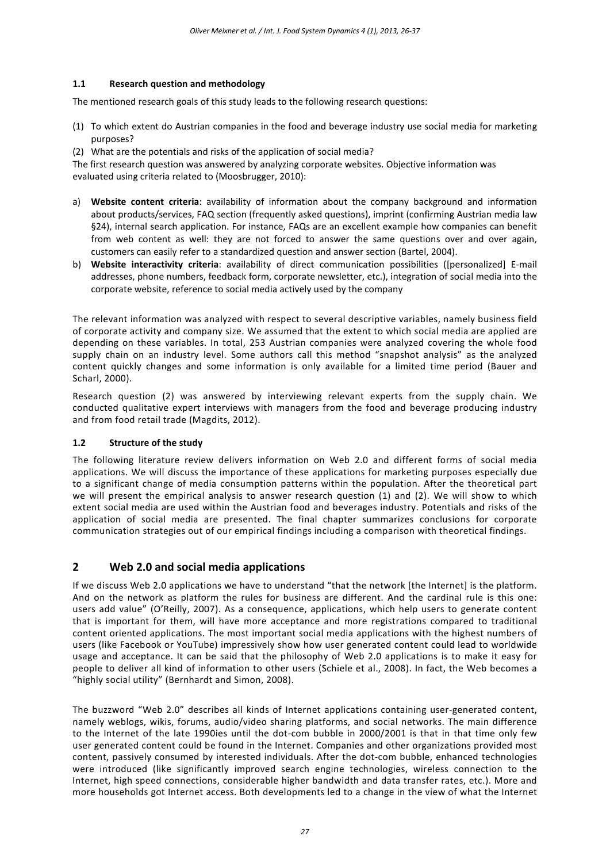## **1.1 Research question and methodology**

The mentioned research goals of this study leads to the following research questions:

- (1) To which extent do Austrian companies in the food and beverage industry use social media for marketing purposes?
- (2) What are the potentials and risks of the application of social media?

The first research question was answered by analyzing corporate websites. Objective information was evaluated using criteria related to (Moosbrugger, 2010):

- a) **Website content criteria**: availability of information about the company background and information about products/services, FAQ section (frequently asked questions), imprint (confirming Austrian media law §24), internal search application. For instance, FAQs are an excellent example how companies can benefit from web content as well: they are not forced to answer the same questions over and over again, customers can easily refer to a standardized question and answer section (Bartel, 2004).
- b) **Website interactivity criteria**: availability of direct communication possibilities ([personalized] E-mail addresses, phone numbers, feedback form, corporate newsletter, etc.), integration of social media into the corporate website, reference to social media actively used by the company

The relevant information was analyzed with respect to several descriptive variables, namely business field of corporate activity and company size. We assumed that the extent to which social media are applied are depending on these variables. In total, 253 Austrian companies were analyzed covering the whole food supply chain on an industry level. Some authors call this method "snapshot analysis" as the analyzed content quickly changes and some information is only available for a limited time period (Bauer and Scharl, 2000).

Research question (2) was answered by interviewing relevant experts from the supply chain. We conducted qualitative expert interviews with managers from the food and beverage producing industry and from food retail trade (Magdits, 2012).

## **1.2 Structure of the study**

The following literature review delivers information on Web 2.0 and different forms of social media applications. We will discuss the importance of these applications for marketing purposes especially due to a significant change of media consumption patterns within the population. After the theoretical part we will present the empirical analysis to answer research question (1) and (2). We will show to which extent social media are used within the Austrian food and beverages industry. Potentials and risks of the application of social media are presented. The final chapter summarizes conclusions for corporate communication strategies out of our empirical findings including a comparison with theoretical findings.

# **2 Web 2.0 and social media applications**

If we discuss Web 2.0 applications we have to understand "that the network [the Internet] is the platform. And on the network as platform the rules for business are different. And the cardinal rule is this one: users add value" (O'Reilly, 2007). As a consequence, applications, which help users to generate content that is important for them, will have more acceptance and more registrations compared to traditional content oriented applications. The most important social media applications with the highest numbers of users (like Facebook or YouTube) impressively show how user generated content could lead to worldwide usage and acceptance. It can be said that the philosophy of Web 2.0 applications is to make it easy for people to deliver all kind of information to other users (Schiele et al., 2008). In fact, the Web becomes a "highly social utility" (Bernhardt and Simon, 2008).

The buzzword "Web 2.0" describes all kinds of Internet applications containing user-generated content, namely weblogs, wikis, forums, audio/video sharing platforms, and social networks. The main difference to the Internet of the late 1990ies until the dot-com bubble in 2000/2001 is that in that time only few user generated content could be found in the Internet. Companies and other organizations provided most content, passively consumed by interested individuals. After the dot-com bubble, enhanced technologies were introduced (like significantly improved search engine technologies, wireless connection to the Internet, high speed connections, considerable higher bandwidth and data transfer rates, etc.). More and more households got Internet access. Both developments led to a change in the view of what the Internet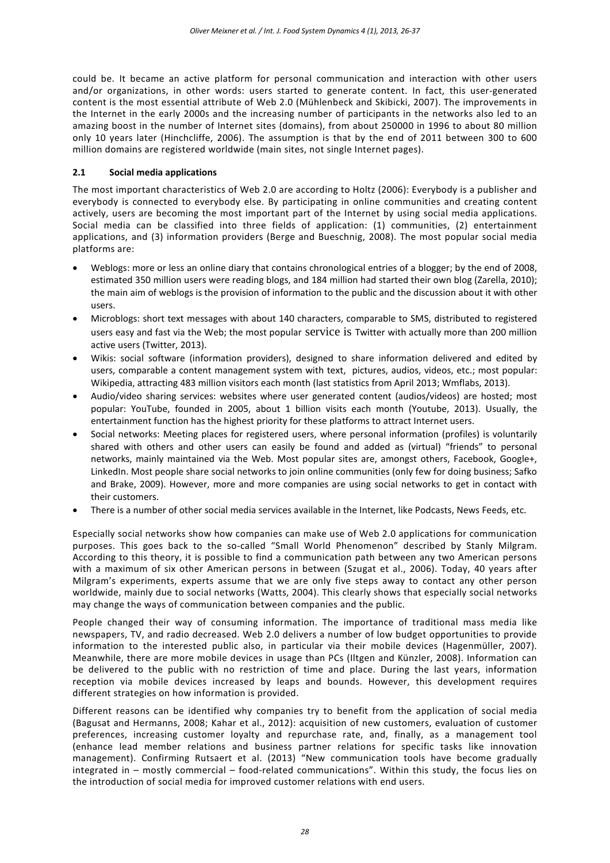could be. It became an active platform for personal communication and interaction with other users and/or organizations, in other words: users started to generate content. In fact, this user-generated content is the most essential attribute of Web 2.0 (Mühlenbeck and Skibicki, 2007). The improvements in the Internet in the early 2000s and the increasing number of participants in the networks also led to an amazing boost in the number of Internet sites (domains), from about 250000 in 1996 to about 80 million only 10 years later (Hinchcliffe, 2006). The assumption is that by the end of 2011 between 300 to 600 million domains are registered worldwide (main sites, not single Internet pages).

## **2.1 Social media applications**

The most important characteristics of Web 2.0 are according to Holtz (2006): Everybody is a publisher and everybody is connected to everybody else. By participating in online communities and creating content actively, users are becoming the most important part of the Internet by using social media applications. Social media can be classified into three fields of application: (1) communities, (2) entertainment applications, and (3) information providers (Berge and Bueschnig, 2008). The most popular social media platforms are:

- Weblogs: more or less an online diary that contains chronological entries of a blogger; by the end of 2008, estimated 350 million users were reading blogs, and 184 million had started their own blog (Zarella, 2010); the main aim of weblogs is the provision of information to the public and the discussion about it with other users.
- Microblogs: short text messages with about 140 characters, comparable to SMS, distributed to registered users easy and fast via the Web; the most popular service is Twitter with actually more than 200 million active users (Twitter, 2013).
- Wikis: social software (information providers), designed to share information delivered and edited by users, comparable a content management system with text, pictures, audios, videos, etc.; most popular: Wikipedia, attracting 483 million visitors each month (last statistics from April 2013; Wmflabs, 2013).
- Audio/video sharing services: websites where user generated content (audios/videos) are hosted; most popular: YouTube, founded in 2005, about 1 billion visits each month (Youtube, 2013). Usually, the entertainment function has the highest priority for these platforms to attract Internet users.
- Social networks: Meeting places for registered users, where personal information (profiles) is voluntarily shared with others and other users can easily be found and added as (virtual) "friends" to personal networks, mainly maintained via the Web. Most popular sites are, amongst others, Facebook, Google+, LinkedIn. Most people share social networks to join online communities (only few for doing business; Safko and Brake, 2009). However, more and more companies are using social networks to get in contact with their customers.
- There is a number of other social media services available in the Internet, like Podcasts, News Feeds, etc.

Especially social networks show how companies can make use of Web 2.0 applications for communication purposes. This goes back to the so-called "Small World Phenomenon" described by Stanly Milgram. According to this theory, it is possible to find a communication path between any two American persons with a maximum of six other American persons in between (Szugat et al., 2006). Today, 40 years after Milgram's experiments, experts assume that we are only five steps away to contact any other person worldwide, mainly due to social networks (Watts, 2004). This clearly shows that especially social networks may change the ways of communication between companies and the public.

People changed their way of consuming information. The importance of traditional mass media like newspapers, TV, and radio decreased. Web 2.0 delivers a number of low budget opportunities to provide information to the interested public also, in particular via their mobile devices (Hagenmüller, 2007). Meanwhile, there are more mobile devices in usage than PCs (Iltgen and Künzler, 2008). Information can be delivered to the public with no restriction of time and place. During the last years, information reception via mobile devices increased by leaps and bounds. However, this development requires different strategies on how information is provided.

Different reasons can be identified why companies try to benefit from the application of social media (Bagusat and Hermanns, 2008; Kahar et al., 2012): acquisition of new customers, evaluation of customer preferences, increasing customer loyalty and repurchase rate, and, finally, as a management tool (enhance lead member relations and business partner relations for specific tasks like innovation management). Confirming Rutsaert et al. (2013) "New communication tools have become gradually integrated in – mostly commercial – food-related communications". Within this study, the focus lies on the introduction of social media for improved customer relations with end users.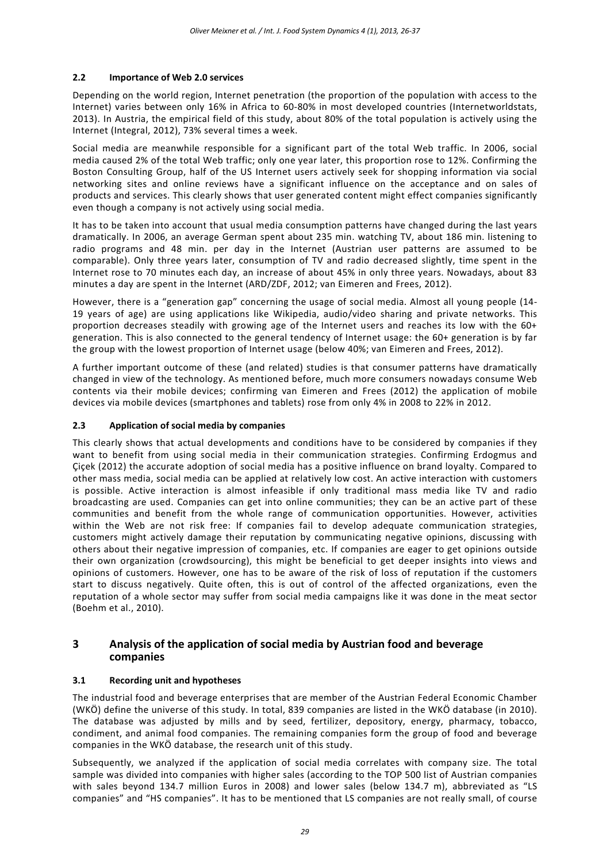## **2.2 Importance of Web 2.0 services**

Depending on the world region, Internet penetration (the proportion of the population with access to the Internet) varies between only 16% in Africa to 60-80% in most developed countries (Internetworldstats, 2013). In Austria, the empirical field of this study, about 80% of the total population is actively using the Internet (Integral, 2012), 73% several times a week.

Social media are meanwhile responsible for a significant part of the total Web traffic. In 2006, social media caused 2% of the total Web traffic; only one year later, this proportion rose to 12%. Confirming the Boston Consulting Group, half of the US Internet users actively seek for shopping information via social networking sites and online reviews have a significant influence on the acceptance and on sales of products and services. This clearly shows that user generated content might effect companies significantly even though a company is not actively using social media.

It has to be taken into account that usual media consumption patterns have changed during the last years dramatically. In 2006, an average German spent about 235 min. watching TV, about 186 min. listening to radio programs and 48 min. per day in the Internet (Austrian user patterns are assumed to be comparable). Only three years later, consumption of TV and radio decreased slightly, time spent in the Internet rose to 70 minutes each day, an increase of about 45% in only three years. Nowadays, about 83 minutes a day are spent in the Internet (ARD/ZDF, 2012; van Eimeren and Frees, 2012).

However, there is a "generation gap" concerning the usage of social media. Almost all young people (14- 19 years of age) are using applications like Wikipedia, audio/video sharing and private networks. This proportion decreases steadily with growing age of the Internet users and reaches its low with the 60+ generation. This is also connected to the general tendency of Internet usage: the 60+ generation is by far the group with the lowest proportion of Internet usage (below 40%; van Eimeren and Frees, 2012).

A further important outcome of these (and related) studies is that consumer patterns have dramatically changed in view of the technology. As mentioned before, much more consumers nowadays consume Web contents via their mobile devices; confirming van Eimeren and Frees (2012) the application of mobile devices via mobile devices (smartphones and tablets) rose from only 4% in 2008 to 22% in 2012.

## **2.3 Application of social media by companies**

This clearly shows that actual developments and conditions have to be considered by companies if they want to benefit from using social media in their communication strategies. Confirming Erdogmus and Çiçek (2012) the accurate adoption of social media has a positive influence on brand loyalty. Compared to other mass media, social media can be applied at relatively low cost. An active interaction with customers is possible. Active interaction is almost infeasible if only traditional mass media like TV and radio broadcasting are used. Companies can get into online communities; they can be an active part of these communities and benefit from the whole range of communication opportunities. However, activities within the Web are not risk free: If companies fail to develop adequate communication strategies, customers might actively damage their reputation by communicating negative opinions, discussing with others about their negative impression of companies, etc. If companies are eager to get opinions outside their own organization (crowdsourcing), this might be beneficial to get deeper insights into views and opinions of customers. However, one has to be aware of the risk of loss of reputation if the customers start to discuss negatively. Quite often, this is out of control of the affected organizations, even the reputation of a whole sector may suffer from social media campaigns like it was done in the meat sector (Boehm et al., 2010).

# **3 Analysis of the application of social media by Austrian food and beverage companies**

## **3.1 Recording unit and hypotheses**

The industrial food and beverage enterprises that are member of the Austrian Federal Economic Chamber (WKÖ) define the universe of this study. In total, 839 companies are listed in the WKÖ database (in 2010). The database was adjusted by mills and by seed, fertilizer, depository, energy, pharmacy, tobacco, condiment, and animal food companies. The remaining companies form the group of food and beverage companies in the WKÖ database, the research unit of this study.

Subsequently, we analyzed if the application of social media correlates with company size. The total sample was divided into companies with higher sales (according to the TOP 500 list of Austrian companies with sales beyond 134.7 million Euros in 2008) and lower sales (below 134.7 m), abbreviated as "LS companies" and "HS companies". It has to be mentioned that LS companies are not really small, of course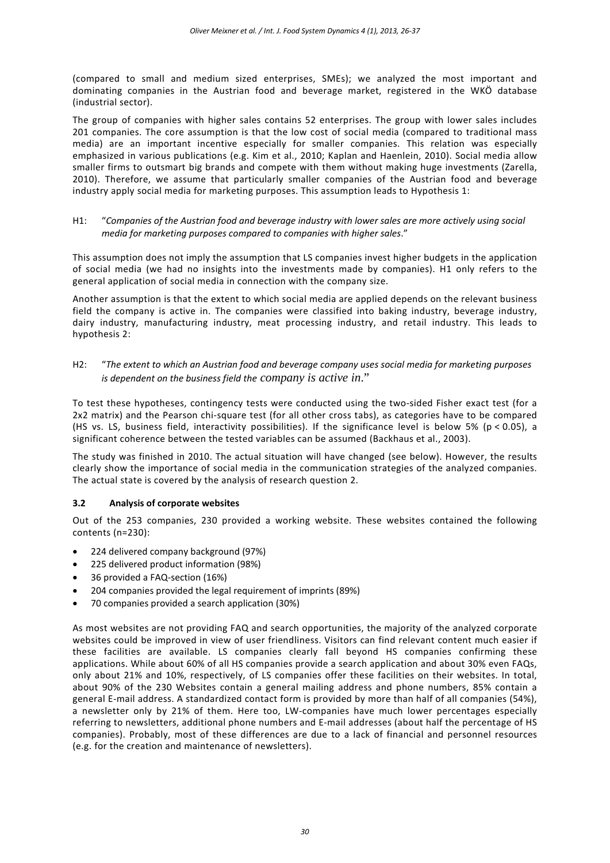(compared to small and medium sized enterprises, SMEs); we analyzed the most important and dominating companies in the Austrian food and beverage market, registered in the WKÖ database (industrial sector).

The group of companies with higher sales contains 52 enterprises. The group with lower sales includes 201 companies. The core assumption is that the low cost of social media (compared to traditional mass media) are an important incentive especially for smaller companies. This relation was especially emphasized in various publications (e.g. Kim et al., 2010; Kaplan and Haenlein, 2010). Social media allow smaller firms to outsmart big brands and compete with them without making huge investments (Zarella, 2010). Therefore, we assume that particularly smaller companies of the Austrian food and beverage industry apply social media for marketing purposes. This assumption leads to Hypothesis 1:

H1: "*Companies of the Austrian food and beverage industry with lower sales are more actively using social media for marketing purposes compared to companies with higher sales*."

This assumption does not imply the assumption that LS companies invest higher budgets in the application of social media (we had no insights into the investments made by companies). H1 only refers to the general application of social media in connection with the company size.

Another assumption is that the extent to which social media are applied depends on the relevant business field the company is active in. The companies were classified into baking industry, beverage industry, dairy industry, manufacturing industry, meat processing industry, and retail industry. This leads to hypothesis 2:

H2: "*The extent to which an Austrian food and beverage company uses social media for marketing purposes is dependent on the business field the company is active in*."

To test these hypotheses, contingency tests were conducted using the two-sided Fisher exact test (for a 2x2 matrix) and the Pearson chi-square test (for all other cross tabs), as categories have to be compared (HS vs. LS, business field, interactivity possibilities). If the significance level is below 5% (p < 0.05), a significant coherence between the tested variables can be assumed (Backhaus et al., 2003).

The study was finished in 2010. The actual situation will have changed (see below). However, the results clearly show the importance of social media in the communication strategies of the analyzed companies. The actual state is covered by the analysis of research question 2.

## **3.2 Analysis of corporate websites**

Out of the 253 companies, 230 provided a working website. These websites contained the following contents (n=230):

- 224 delivered company background (97%)
- 225 delivered product information (98%)
- 36 provided a FAQ-section (16%)
- 204 companies provided the legal requirement of imprints (89%)
- 70 companies provided a search application (30%)

As most websites are not providing FAQ and search opportunities, the majority of the analyzed corporate websites could be improved in view of user friendliness. Visitors can find relevant content much easier if these facilities are available. LS companies clearly fall beyond HS companies confirming these applications. While about 60% of all HS companies provide a search application and about 30% even FAQs, only about 21% and 10%, respectively, of LS companies offer these facilities on their websites. In total, about 90% of the 230 Websites contain a general mailing address and phone numbers, 85% contain a general E-mail address. A standardized contact form is provided by more than half of all companies (54%), a newsletter only by 21% of them. Here too, LW-companies have much lower percentages especially referring to newsletters, additional phone numbers and E-mail addresses (about half the percentage of HS companies). Probably, most of these differences are due to a lack of financial and personnel resources (e.g. for the creation and maintenance of newsletters).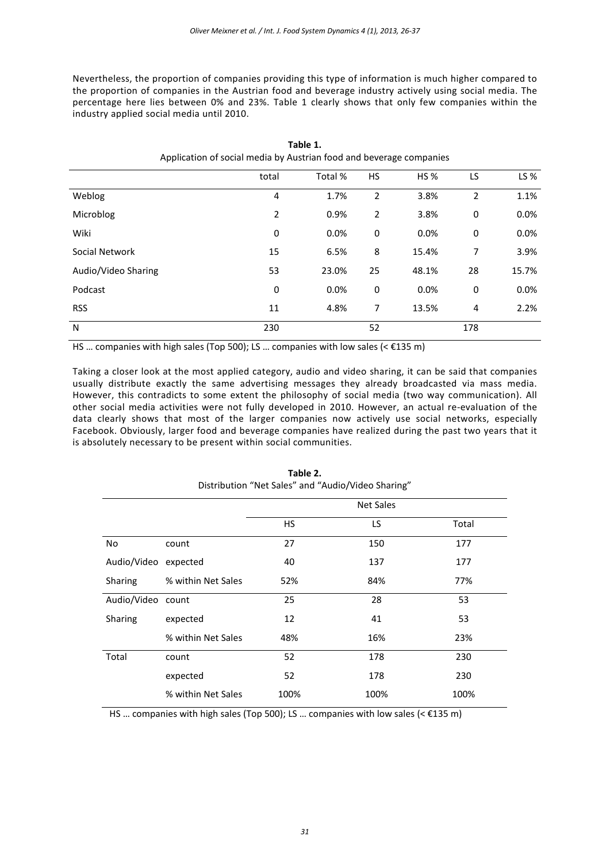Nevertheless, the proportion of companies providing this type of information is much higher compared to the proportion of companies in the Austrian food and beverage industry actively using social media. The percentage here lies between 0% and 23%. Table 1 clearly shows that only few companies within the industry applied social media until 2010.

| Application of social media by Austrian food and beverage companies |                |         |    |         |     |       |
|---------------------------------------------------------------------|----------------|---------|----|---------|-----|-------|
|                                                                     | total          | Total % | HS | HS %    | LS  | LS %  |
| Weblog                                                              | 4              | 1.7%    | 2  | 3.8%    | 2   | 1.1%  |
| Microblog                                                           | $\overline{2}$ | 0.9%    | 2  | 3.8%    | 0   | 0.0%  |
| Wiki                                                                | $\pmb{0}$      | 0.0%    | 0  | $0.0\%$ | 0   | 0.0%  |
| Social Network                                                      | 15             | 6.5%    | 8  | 15.4%   | 7   | 3.9%  |
| Audio/Video Sharing                                                 | 53             | 23.0%   | 25 | 48.1%   | 28  | 15.7% |
| Podcast                                                             | 0              | 0.0%    | 0  | $0.0\%$ | 0   | 0.0%  |
| <b>RSS</b>                                                          | 11             | 4.8%    | 7  | 13.5%   | 4   | 2.2%  |
| N                                                                   | 230            |         | 52 |         | 178 |       |

**Table 1.** Application of social media by Austrian food and beverage companies

HS … companies with high sales (Top 500); LS … companies with low sales (< €135 m)

Taking a closer look at the most applied category, audio and video sharing, it can be said that companies usually distribute exactly the same advertising messages they already broadcasted via mass media. However, this contradicts to some extent the philosophy of social media (two way communication). All other social media activities were not fully developed in 2010. However, an actual re-evaluation of the data clearly shows that most of the larger companies now actively use social networks, especially Facebook. Obviously, larger food and beverage companies have realized during the past two years that it is absolutely necessary to be present within social communities.

|                      |                    | <b>Net Sales</b> |      |       |
|----------------------|--------------------|------------------|------|-------|
|                      |                    | <b>HS</b>        | LS   | Total |
| No                   | count              | 27               | 150  | 177   |
| Audio/Video expected |                    | 40               | 137  | 177   |
| Sharing              | % within Net Sales | 52%              | 84%  | 77%   |
| Audio/Video count    |                    | 25               | 28   | 53    |
| Sharing              | expected           | 12               | 41   | 53    |
|                      | % within Net Sales | 48%              | 16%  | 23%   |
| Total                | count              | 52               | 178  | 230   |
|                      | expected           | 52               | 178  | 230   |
|                      | % within Net Sales | 100%             | 100% | 100%  |

**Table 2.** Distribution "Net Sales" and "Audio/Video Sharing"

HS ... companies with high sales (Top 500); LS ... companies with low sales (< $\epsilon$ 135 m)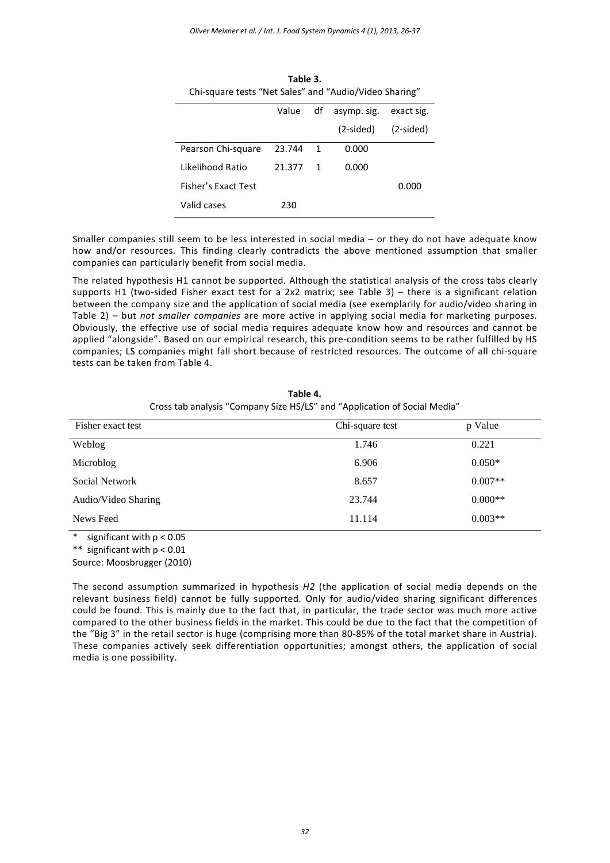| Table 3.                                               |        |             |             |            |  |  |
|--------------------------------------------------------|--------|-------------|-------------|------------|--|--|
| Chi-square tests "Net Sales" and "Audio/Video Sharing" |        |             |             |            |  |  |
|                                                        | Value  | df          | asymp. sig. | exact sig. |  |  |
|                                                        |        |             | (2-sided)   | (2-sided)  |  |  |
| Pearson Chi-square                                     | 23.744 | 1           | 0.000       |            |  |  |
| Likelihood Ratio                                       | 21.377 | $\mathbf 1$ | 0.000       |            |  |  |
| Fisher's Exact Test                                    |        |             |             | 0.000      |  |  |
| Valid cases                                            | 230    |             |             |            |  |  |

Smaller companies still seem to be less interested in social media – or they do not have adequate know how and/or resources. This finding clearly contradicts the above mentioned assumption that smaller companies can particularly benefit from social media.

The related hypothesis H1 cannot be supported. Although the statistical analysis of the cross tabs clearly supports H1 (two-sided Fisher exact test for a 2x2 matrix; see Table 3) – there is a significant relation between the company size and the application of social media (see exemplarily for audio/video sharing in Table 2) – but *not smaller companies* are more active in applying social media for marketing purposes. Obviously, the effective use of social media requires adequate know how and resources and cannot be applied "alongside". Based on our empirical research, this pre-condition seems to be rather fulfilled by HS companies; LS companies might fall short because of restricted resources. The outcome of all chi-square tests can be taken from Table 4.

| Fisher exact test   | Chi-square test | p Value   |
|---------------------|-----------------|-----------|
| Weblog              | 1.746           | 0.221     |
| Microblog           | 6.906           | $0.050*$  |
| Social Network      | 8.657           | $0.007**$ |
| Audio/Video Sharing | 23.744          | $0.000**$ |
| News Feed           | 11.114          | $0.003**$ |

**Table 4.** Cross tab analysis "Company Size HS/LS" and "Application of Social Media"

\* significant with p < 0.05

\*\* significant with p < 0.01

Source: Moosbrugger (2010)

The second assumption summarized in hypothesis *H2* (the application of social media depends on the relevant business field) cannot be fully supported. Only for audio/video sharing significant differences could be found. This is mainly due to the fact that, in particular, the trade sector was much more active compared to the other business fields in the market. This could be due to the fact that the competition of the "Big 3" in the retail sector is huge (comprising more than 80-85% of the total market share in Austria). These companies actively seek differentiation opportunities; amongst others, the application of social media is one possibility.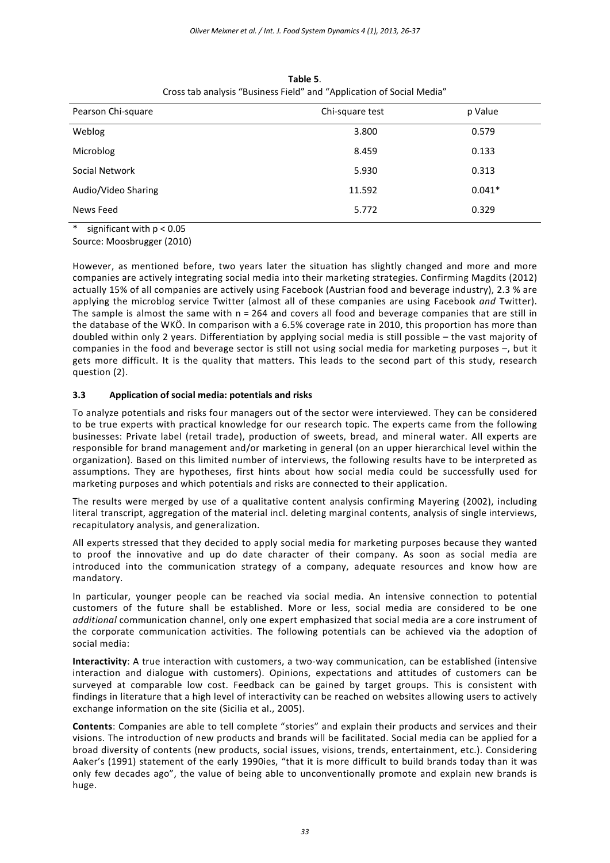| Pearson Chi-square                                                                                                                         | Chi-square test | p Value  |
|--------------------------------------------------------------------------------------------------------------------------------------------|-----------------|----------|
| Weblog                                                                                                                                     | 3.800           | 0.579    |
| Microblog                                                                                                                                  | 8.459           | 0.133    |
| Social Network                                                                                                                             | 5.930           | 0.313    |
| Audio/Video Sharing                                                                                                                        | 11.592          | $0.041*$ |
| News Feed                                                                                                                                  | 5.772           | 0.329    |
| $\mathbf{a}$ and $\mathbf{a}$ and $\mathbf{a}$ and $\mathbf{a}$ and $\mathbf{a}$ and $\mathbf{a}$ and $\mathbf{a}$<br>$\sim$ $\sim$ $\sim$ |                 |          |

**Table 5**. Cross tab analysis "Business Field" and "Application of Social Media"

\* significant with p < 0.05 Source: Moosbrugger (2010)

However, as mentioned before, two years later the situation has slightly changed and more and more companies are actively integrating social media into their marketing strategies. Confirming Magdits (2012) actually 15% of all companies are actively using Facebook (Austrian food and beverage industry), 2.3 % are applying the microblog service Twitter (almost all of these companies are using Facebook *and* Twitter). The sample is almost the same with n = 264 and covers all food and beverage companies that are still in the database of the WKÖ. In comparison with a 6.5% coverage rate in 2010, this proportion has more than doubled within only 2 years. Differentiation by applying social media is still possible – the vast majority of companies in the food and beverage sector is still not using social media for marketing purposes –, but it gets more difficult. It is the quality that matters. This leads to the second part of this study, research question (2).

## **3.3 Application of social media: potentials and risks**

To analyze potentials and risks four managers out of the sector were interviewed. They can be considered to be true experts with practical knowledge for our research topic. The experts came from the following businesses: Private label (retail trade), production of sweets, bread, and mineral water. All experts are responsible for brand management and/or marketing in general (on an upper hierarchical level within the organization). Based on this limited number of interviews, the following results have to be interpreted as assumptions. They are hypotheses, first hints about how social media could be successfully used for marketing purposes and which potentials and risks are connected to their application.

The results were merged by use of a qualitative content analysis confirming Mayering (2002), including literal transcript, aggregation of the material incl. deleting marginal contents, analysis of single interviews, recapitulatory analysis, and generalization.

All experts stressed that they decided to apply social media for marketing purposes because they wanted to proof the innovative and up do date character of their company. As soon as social media are introduced into the communication strategy of a company, adequate resources and know how are mandatory.

In particular, younger people can be reached via social media. An intensive connection to potential customers of the future shall be established. More or less, social media are considered to be one *additional* communication channel, only one expert emphasized that social media are a core instrument of the corporate communication activities. The following potentials can be achieved via the adoption of social media:

**Interactivity**: A true interaction with customers, a two-way communication, can be established (intensive interaction and dialogue with customers). Opinions, expectations and attitudes of customers can be surveyed at comparable low cost. Feedback can be gained by target groups. This is consistent with findings in literature that a high level of interactivity can be reached on websites allowing users to actively exchange information on the site (Sicilia et al., 2005).

**Contents**: Companies are able to tell complete "stories" and explain their products and services and their visions. The introduction of new products and brands will be facilitated. Social media can be applied for a broad diversity of contents (new products, social issues, visions, trends, entertainment, etc.). Considering Aaker's (1991) statement of the early 1990ies, "that it is more difficult to build brands today than it was only few decades ago", the value of being able to unconventionally promote and explain new brands is huge.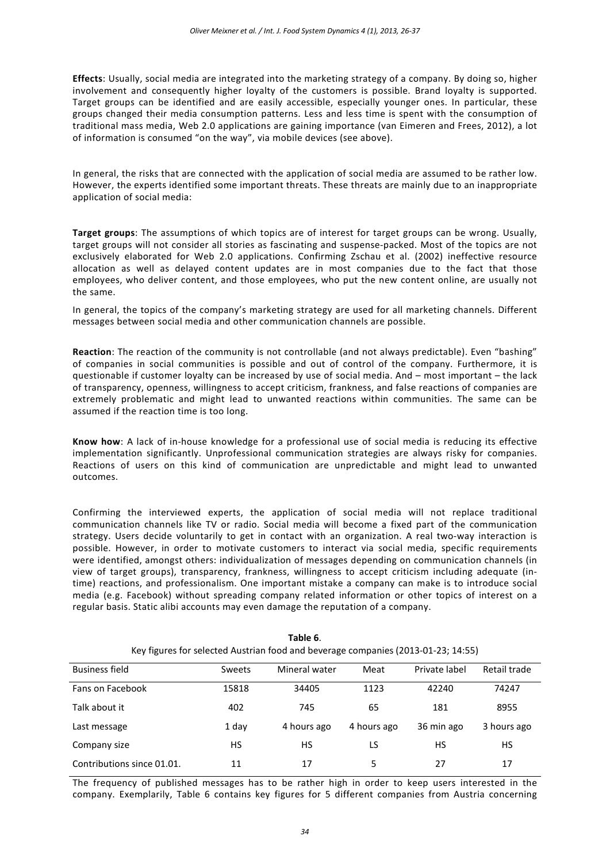**Effects**: Usually, social media are integrated into the marketing strategy of a company. By doing so, higher involvement and consequently higher loyalty of the customers is possible. Brand loyalty is supported. Target groups can be identified and are easily accessible, especially younger ones. In particular, these groups changed their media consumption patterns. Less and less time is spent with the consumption of traditional mass media, Web 2.0 applications are gaining importance (van Eimeren and Frees, 2012), a lot of information is consumed "on the way", via mobile devices (see above).

In general, the risks that are connected with the application of social media are assumed to be rather low. However, the experts identified some important threats. These threats are mainly due to an inappropriate application of social media:

**Target groups**: The assumptions of which topics are of interest for target groups can be wrong. Usually, target groups will not consider all stories as fascinating and suspense-packed. Most of the topics are not exclusively elaborated for Web 2.0 applications. Confirming Zschau et al. (2002) ineffective resource allocation as well as delayed content updates are in most companies due to the fact that those employees, who deliver content, and those employees, who put the new content online, are usually not the same.

In general, the topics of the company's marketing strategy are used for all marketing channels. Different messages between social media and other communication channels are possible.

**Reaction**: The reaction of the community is not controllable (and not always predictable). Even "bashing" of companies in social communities is possible and out of control of the company. Furthermore, it is questionable if customer loyalty can be increased by use of social media. And – most important – the lack of transparency, openness, willingness to accept criticism, frankness, and false reactions of companies are extremely problematic and might lead to unwanted reactions within communities. The same can be assumed if the reaction time is too long.

**Know how**: A lack of in-house knowledge for a professional use of social media is reducing its effective implementation significantly. Unprofessional communication strategies are always risky for companies. Reactions of users on this kind of communication are unpredictable and might lead to unwanted outcomes.

Confirming the interviewed experts, the application of social media will not replace traditional communication channels like TV or radio. Social media will become a fixed part of the communication strategy. Users decide voluntarily to get in contact with an organization. A real two-way interaction is possible. However, in order to motivate customers to interact via social media, specific requirements were identified, amongst others: individualization of messages depending on communication channels (in view of target groups), transparency, frankness, willingness to accept criticism including adequate (intime) reactions, and professionalism. One important mistake a company can make is to introduce social media (e.g. Facebook) without spreading company related information or other topics of interest on a regular basis. Static alibi accounts may even damage the reputation of a company.

| TUMIL V.<br>Key figures for selected Austrian food and beverage companies (2013-01-23; 14:55) |               |               |             |               |              |
|-----------------------------------------------------------------------------------------------|---------------|---------------|-------------|---------------|--------------|
| Business field                                                                                | <b>Sweets</b> | Mineral water | Meat        | Private label | Retail trade |
| Fans on Facebook                                                                              | 15818         | 34405         | 1123        | 42240         | 74247        |
| Talk about it                                                                                 | 402           | 745           | 65          | 181           | 8955         |
| Last message                                                                                  | 1 day         | 4 hours ago   | 4 hours ago | 36 min ago    | 3 hours ago  |
| Company size                                                                                  | НS            | HS.           | LS          | НS            | HS.          |
| Contributions since 01.01.                                                                    | 11            | 17            | 5           | 27            | 17           |

**Table 6**.

The frequency of published messages has to be rather high in order to keep users interested in the company. Exemplarily, Table 6 contains key figures for 5 different companies from Austria concerning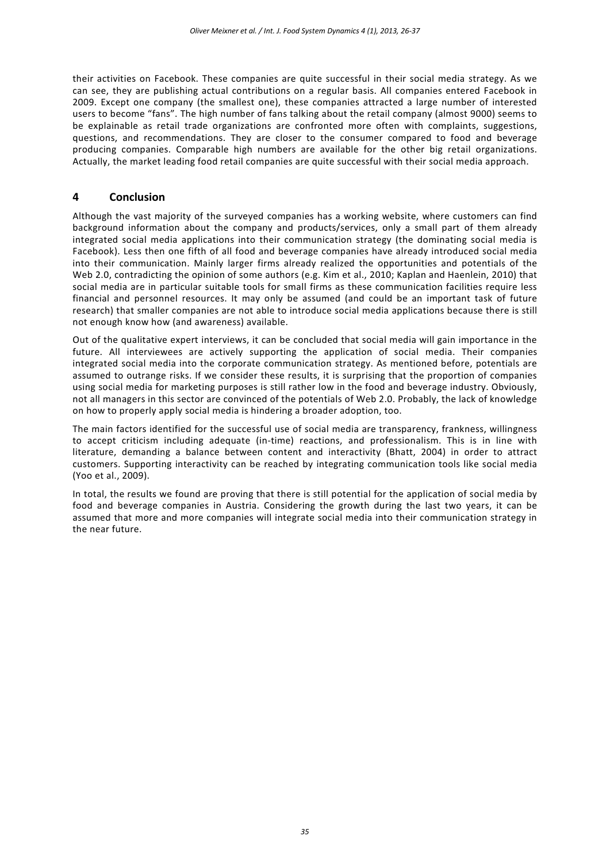their activities on Facebook. These companies are quite successful in their social media strategy. As we can see, they are publishing actual contributions on a regular basis. All companies entered Facebook in 2009. Except one company (the smallest one), these companies attracted a large number of interested users to become "fans". The high number of fans talking about the retail company (almost 9000) seems to be explainable as retail trade organizations are confronted more often with complaints, suggestions, questions, and recommendations. They are closer to the consumer compared to food and beverage producing companies. Comparable high numbers are available for the other big retail organizations. Actually, the market leading food retail companies are quite successful with their social media approach.

## **4 Conclusion**

Although the vast majority of the surveyed companies has a working website, where customers can find background information about the company and products/services, only a small part of them already integrated social media applications into their communication strategy (the dominating social media is Facebook). Less then one fifth of all food and beverage companies have already introduced social media into their communication. Mainly larger firms already realized the opportunities and potentials of the Web 2.0, contradicting the opinion of some authors (e.g. Kim et al., 2010; Kaplan and Haenlein, 2010) that social media are in particular suitable tools for small firms as these communication facilities require less financial and personnel resources. It may only be assumed (and could be an important task of future research) that smaller companies are not able to introduce social media applications because there is still not enough know how (and awareness) available.

Out of the qualitative expert interviews, it can be concluded that social media will gain importance in the future. All interviewees are actively supporting the application of social media. Their companies integrated social media into the corporate communication strategy. As mentioned before, potentials are assumed to outrange risks. If we consider these results, it is surprising that the proportion of companies using social media for marketing purposes is still rather low in the food and beverage industry. Obviously, not all managers in this sector are convinced of the potentials of Web 2.0. Probably, the lack of knowledge on how to properly apply social media is hindering a broader adoption, too.

The main factors identified for the successful use of social media are transparency, frankness, willingness to accept criticism including adequate (in-time) reactions, and professionalism. This is in line with literature, demanding a balance between content and interactivity (Bhatt, 2004) in order to attract customers. Supporting interactivity can be reached by integrating communication tools like social media (Yoo et al., 2009).

In total, the results we found are proving that there is still potential for the application of social media by food and beverage companies in Austria. Considering the growth during the last two years, it can be assumed that more and more companies will integrate social media into their communication strategy in the near future.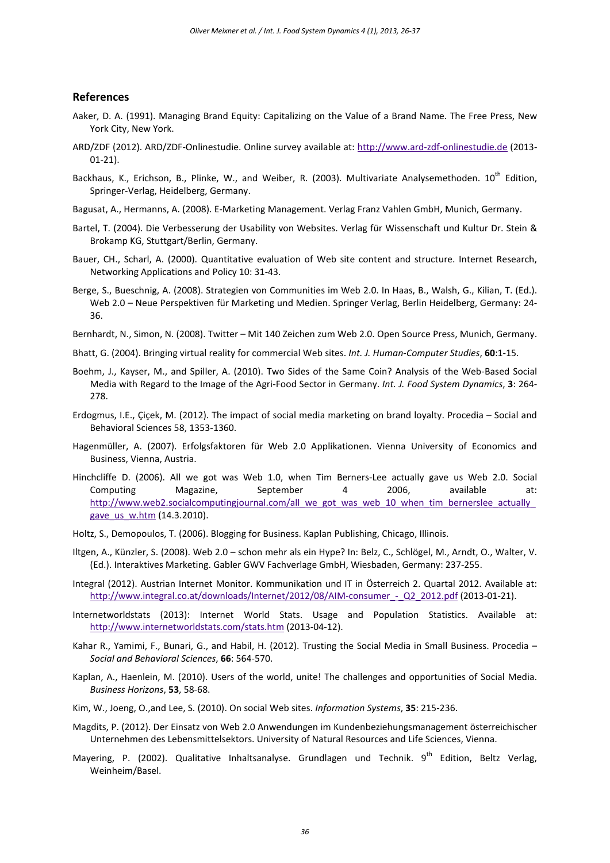#### **References**

- Aaker, D. A. (1991). Managing Brand Equity: Capitalizing on the Value of a Brand Name. The Free Press, New York City, New York.
- ARD/ZDF (2012). ARD/ZDF-Onlinestudie. Online survey available at: [http://www.ard-zdf-onlinestudie.de](http://www.ard-zdf-onlinestudie.de/) (2013- 01-21).
- Backhaus, K., Erichson, B., Plinke, W., and Weiber, R. (2003). Multivariate Analysemethoden. 10<sup>th</sup> Edition, Springer-Verlag, Heidelberg, Germany.
- Bagusat, A., Hermanns, A. (2008). E-Marketing Management. Verlag Franz Vahlen GmbH, Munich, Germany.
- Bartel, T. (2004). Die Verbesserung der Usability von Websites. Verlag für Wissenschaft und Kultur Dr. Stein & Brokamp KG, Stuttgart/Berlin, Germany.
- Bauer, CH., Scharl, A. (2000). Quantitative evaluation of Web site content and structure. Internet Research, Networking Applications and Policy 10: 31-43.
- Berge, S., Bueschnig, A. (2008). Strategien von Communities im Web 2.0. In Haas, B., Walsh, G., Kilian, T. (Ed.). Web 2.0 – Neue Perspektiven für Marketing und Medien. Springer Verlag, Berlin Heidelberg, Germany: 24- 36.
- Bernhardt, N., Simon, N. (2008). Twitter Mit 140 Zeichen zum Web 2.0. Open Source Press, Munich, Germany.
- Bhatt, G. (2004). Bringing virtual reality for commercial Web sites. *Int. J. Human-Computer Studies*, **60**:1-15.
- Boehm, J., Kayser, M., and Spiller, A. (2010). Two Sides of the Same Coin? Analysis of the Web-Based Social Media with Regard to the Image of the Agri-Food Sector in Germany. *Int. J. Food System Dynamics*, **3**: 264- 278.
- Erdogmus, I.E., Çiçek, M. (2012). The impact of social media marketing on brand loyalty. Procedia Social and Behavioral Sciences 58, 1353-1360.
- Hagenmüller, A. (2007). Erfolgsfaktoren für Web 2.0 Applikationen. Vienna University of Economics and Business, Vienna, Austria.
- Hinchcliffe D. (2006). All we got was Web 1.0, when Tim Berners-Lee actually gave us Web 2.0. Social Computing Magazine, September 4 2006, available at: [http://www.web2.socialcomputingjournal.com/all\\_we\\_got\\_was\\_web\\_10\\_when\\_tim\\_bernerslee\\_actually\\_](http://www.web2.socialcomputingjournal.com/all_we_got_was_web_10_when_tim_bernerslee_actually_gave_us_w.htm) gave us w.htm (14.3.2010).
- Holtz, S., Demopoulos, T. (2006). Blogging for Business. Kaplan Publishing, Chicago, Illinois.
- Iltgen, A., Künzler, S. (2008). Web 2.0 schon mehr als ein Hype? In: Belz, C., Schlögel, M., Arndt, O., Walter, V. (Ed.). Interaktives Marketing. Gabler GWV Fachverlage GmbH, Wiesbaden, Germany: 237-255.
- Integral (2012). Austrian Internet Monitor. Kommunikation und IT in Österreich 2. Quartal 2012. Available at: http://www.integral.co.at/downloads/Internet/2012/08/AIM-consumer - Q2 2012.pdf (2013-01-21).
- Internetworldstats (2013): Internet World Stats. Usage and Population Statistics. Available at: <http://www.internetworldstats.com/stats.htm> (2013-04-12).
- Kahar R., Yamimi, F., Bunari, G., and Habil, H. (2012). Trusting the Social Media in Small Business. Procedia *Social and Behavioral Sciences*, **66**: 564-570.
- Kaplan, A., Haenlein, M. (2010). Users of the world, unite! The challenges and opportunities of Social Media. *Business Horizons*, **53**, 58-68.
- Kim, W., Joeng, O.,and Lee, S. (2010). On social Web sites. *Information Systems*, **35**: 215-236.
- Magdits, P. (2012). Der Einsatz von Web 2.0 Anwendungen im Kundenbeziehungsmanagement österreichischer Unternehmen des Lebensmittelsektors. University of Natural Resources and Life Sciences, Vienna.
- Mayering, P. (2002). Qualitative Inhaltsanalyse. Grundlagen und Technik. 9<sup>th</sup> Edition, Beltz Verlag, Weinheim/Basel.